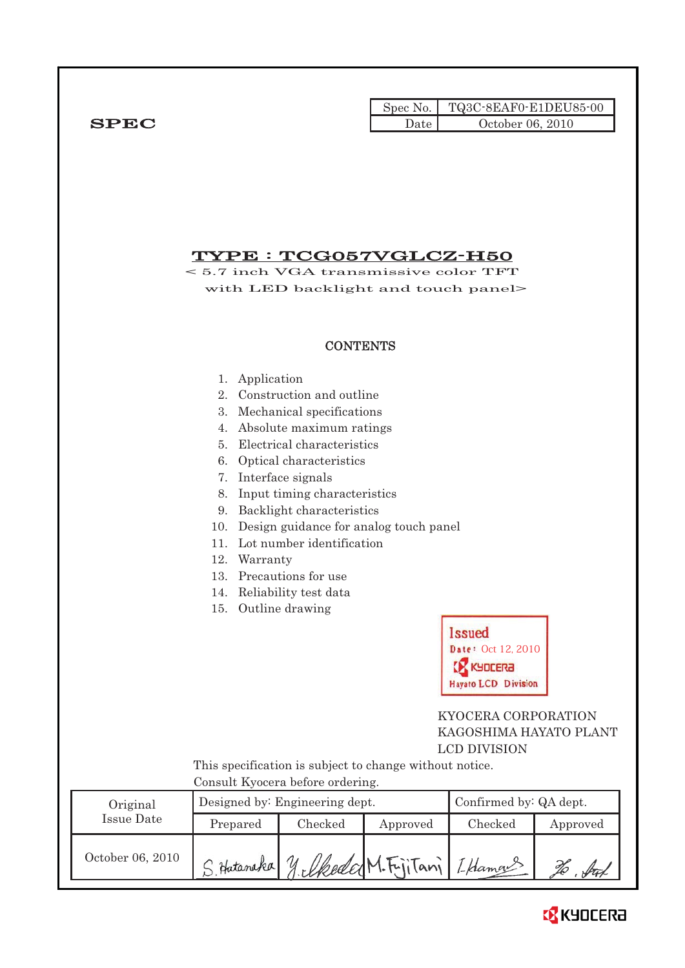Spec No. TQ3C-8EAF0-E1DEU85-00  $SPEC$  Date  $0 \text{ctober } 06, 2010$ 

# TYPE : TCG057VGLCZ-H50

< 5.7 inch VGA transmissive color TFT with LED backlight and touch panel>

# **CONTENTS**

- 1. Application
- 2. Construction and outline
- 3. Mechanical specifications
- 4. Absolute maximum ratings
- 5. Electrical characteristics
- 6. Optical characteristics
- 7. Interface signals
- 8. Input timing characteristics
- 9. Backlight characteristics
- 10. Design guidance for analog touch panel
- 11. Lot number identification
- 12. Warranty
- 13. Precautions for use
- 14. Reliability test data
- 15. Outline drawing



 KYOCERA CORPORATION KAGOSHIMA HAYATO PLANT LCD DIVISION

 This specification is subject to change without notice. Consult Kyocera before ordering.

| Original         |                                              | Designed by: Engineering dept. | Confirmed by: QA dept. |         |          |
|------------------|----------------------------------------------|--------------------------------|------------------------|---------|----------|
| Issue Date       | Prepared                                     | Checked                        | Approved               | Checked | Approved |
| October 06, 2010 | S. Hataraka y elkeded M. FijiTani / Lklamans |                                |                        |         |          |

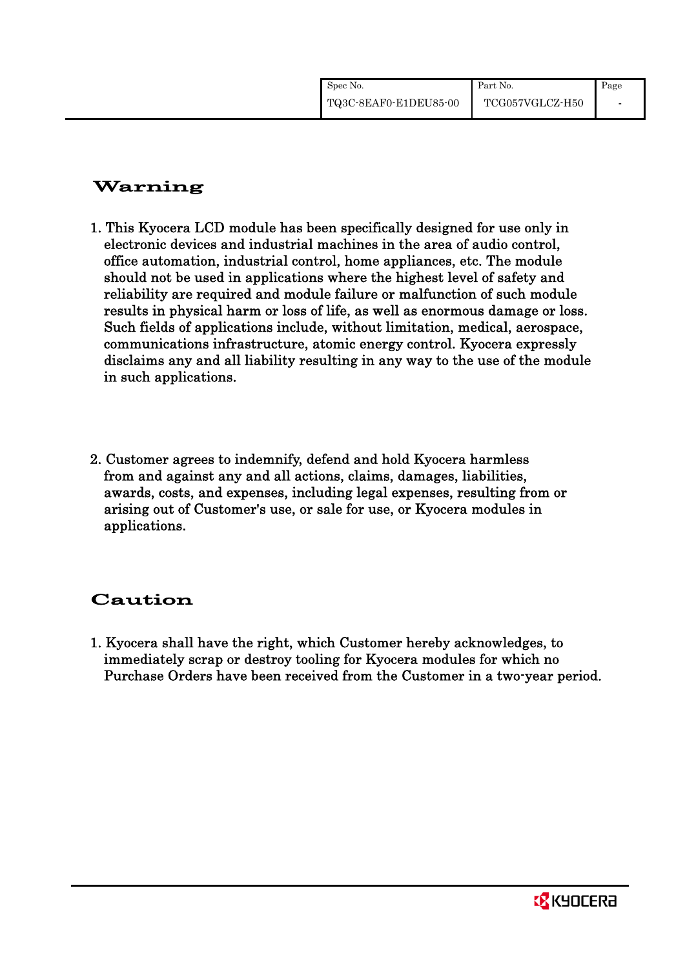| Spec No.              | Part No.        | Page |
|-----------------------|-----------------|------|
| TQ3C-8EAF0-E1DEU85-00 | TCG057VGLCZ-H50 |      |

# Warning

- 1. This Kyocera LCD module has been specifically designed for use only in electronic devices and industrial machines in the area of audio control, office automation, industrial control, home appliances, etc. The module should not be used in applications where the highest level of safety and reliability are required and module failure or malfunction of such module results in physical harm or loss of life, as well as enormous damage or loss. Such fields of applications include, without limitation, medical, aerospace, communications infrastructure, atomic energy control. Kyocera expressly disclaims any and all liability resulting in any way to the use of the module in such applications.
- 2. Customer agrees to indemnify, defend and hold Kyocera harmless from and against any and all actions, claims, damages, liabilities, awards, costs, and expenses, including legal expenses, resulting from or arising out of Customer's use, or sale for use, or Kyocera modules in applications.

# Caution

1. Kyocera shall have the right, which Customer hereby acknowledges, to immediately scrap or destroy tooling for Kyocera modules for which no Purchase Orders have been received from the Customer in a two-year period.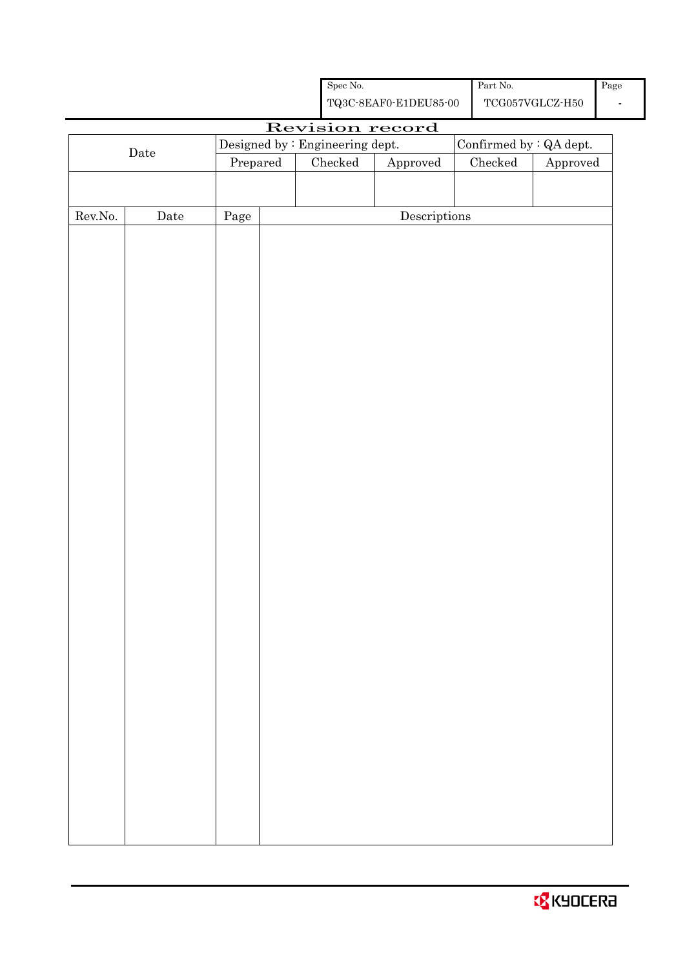| Spec No.              | Part No.        | Page |
|-----------------------|-----------------|------|
| TQ3C-8EAF0-E1DEU85-00 | TCG057VGLCZ-H50 |      |

Approved

# Revision record Designed by : Engineering dept. Confirmed by : QA dept.<br>Prepared Checked Approved Checked Approved

Rev.No. Date Page Descriptions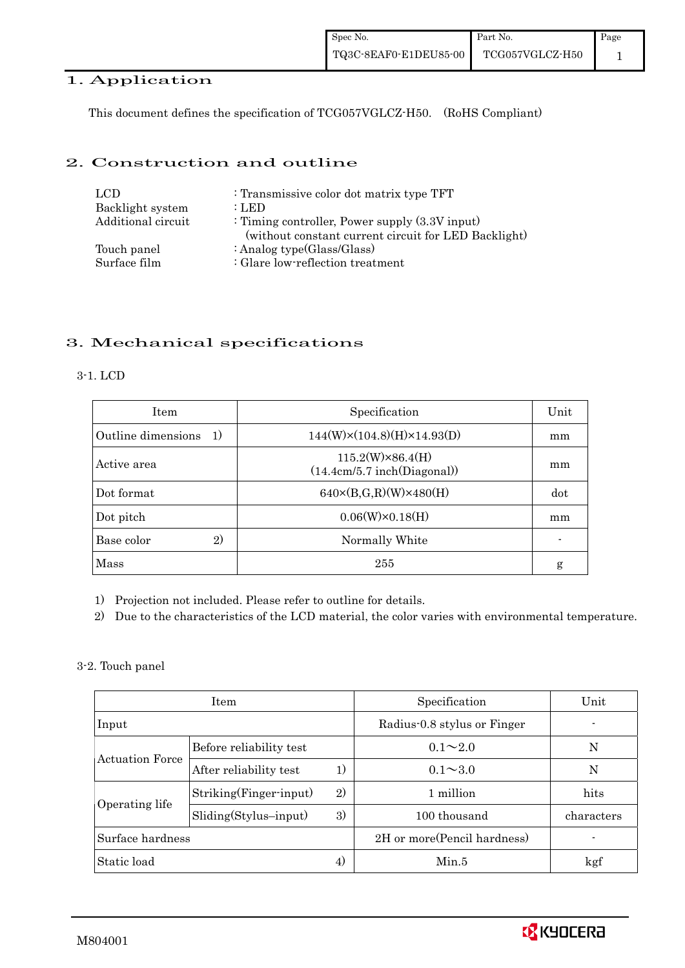### 1. Application

This document defines the specification of TCG057VGLCZ-H50. (RoHS Compliant)

### 2. Construction and outline

| LCD.               | : Transmissive color dot matrix type TFT                                                                  |
|--------------------|-----------------------------------------------------------------------------------------------------------|
| Backlight system   | : LED                                                                                                     |
| Additional circuit | : Timing controller, Power supply $(3.3V)$ input)<br>(without constant current circuit for LED Backlight) |
| Touch panel        | : Analog type $(Glass/Glass)$                                                                             |
| Surface film       | : Glare low-reflection treatment                                                                          |

# 3. Mechanical specifications

#### 3-1. LCD

| <b>Item</b>                        | Specification                                          | Unit |
|------------------------------------|--------------------------------------------------------|------|
| Outline dimensions<br><sup>1</sup> | $144(W)\times(104.8)(H)\times14.93(D)$                 | mm   |
| Active area                        | $115.2(W)\times86.4(H)$<br>(14.4cm/5.7 inch(Diagonal)) | mm   |
| Dot format                         | $640\times(B,G,R)(W)\times480(H)$                      | dot  |
| Dot pitch                          | $0.06(W) \times 0.18(H)$                               | mm   |
| $\mathbf{2}$<br>Base color         | Normally White                                         |      |
| Mass                               | 255                                                    | g    |

1) Projection not included. Please refer to outline for details.

2) Due to the characteristics of the LCD material, the color varies with environmental temperature.

3-2. Touch panel

| <b>Item</b>                             |                              | Specification               | Unit                         |            |
|-----------------------------------------|------------------------------|-----------------------------|------------------------------|------------|
| Input                                   |                              | Radius-0.8 stylus or Finger |                              |            |
| <b>Actuation Force</b>                  | Before reliability test      |                             | $0.1 \sim 2.0$               | N          |
|                                         | After reliability test       | 1)                          | $0.1 \sim 3.0$               | N          |
|                                         | 2)<br>Striking(Finger-input) |                             | 1 million                    | hits       |
| Operating life<br>Sliding(Stylus-input) |                              | 3)                          | 100 thousand                 | characters |
| Surface hardness                        |                              |                             | 2H or more (Pencil hardness) |            |
| Static load                             |                              | 4)                          | Min.5                        | kgf        |

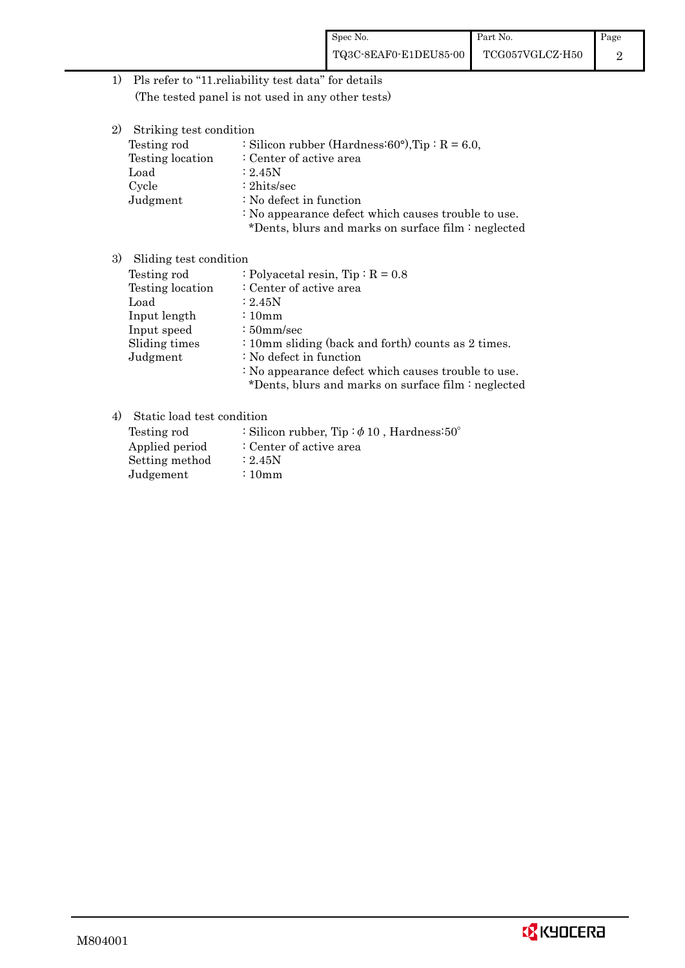1) Pls refer to "11.reliability test data" for details (The tested panel is not used in any other tests)

| 2)<br>Striking test condition |                                                           |
|-------------------------------|-----------------------------------------------------------|
| Testing rod                   | : Silicon rubber (Hardness: $60^{\circ}$ ), Tip: R = 6.0, |
| Testing location              | : Center of active area                                   |
| Load                          | : 2.45N                                                   |
| Cycle                         | $: 2$ hits/sec                                            |
| Judgment                      | : No defect in function                                   |
|                               | : No appearance defect which causes trouble to use.       |
|                               | *Dents, blurs and marks on surface film : neglected       |
|                               |                                                           |

# 3) Sliding test condition

| Testing rod      | : Polyacetal resin, Tip : $R = 0.8$                 |
|------------------|-----------------------------------------------------|
| Testing location | : Center of active area                             |
| Load             | : 2.45N                                             |
| Input length     | $\div 10$ mm                                        |
| Input speed      | $\div 50$ mm/sec                                    |
| Sliding times    | : 10mm sliding (back and forth) counts as 2 times.  |
| Judgment         | : No defect in function                             |
|                  | : No appearance defect which causes trouble to use. |
|                  | *Dents, blurs and marks on surface film : neglected |

## 4) Static load test condition

| Testing rod    | : Silicon rubber, Tip: $\phi$ 10, Hardness: 50° |
|----------------|-------------------------------------------------|
| Applied period | : Center of active area                         |
| Setting method | : 2.45N                                         |
| Judgement      | $\div 10$ m m                                   |

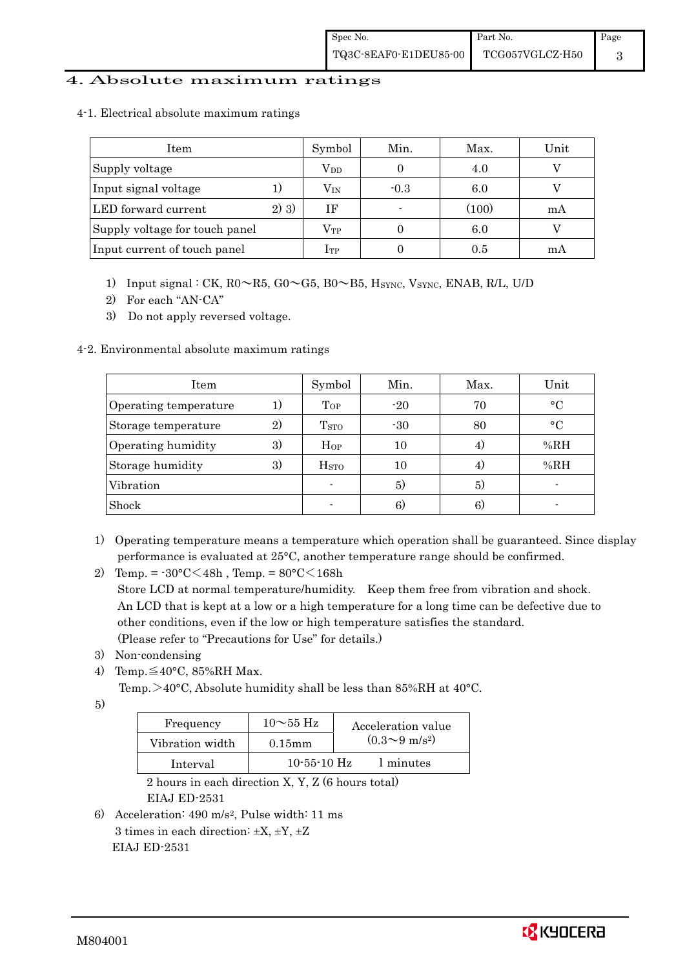### 4. Absolute maximum ratings

|  |  |  | 4-1. Electrical absolute maximum ratings |  |
|--|--|--|------------------------------------------|--|
|--|--|--|------------------------------------------|--|

| Item                           |      | Symbol       | Min.   | Max.  | Unit |
|--------------------------------|------|--------------|--------|-------|------|
| Supply voltage                 |      | $\rm V_{DD}$ |        | 4.0   |      |
| Input signal voltage           |      | $\rm V_{IN}$ | $-0.3$ | 6.0   |      |
| LED forward current            | 2)3) | ΙF           |        | (100) | mA   |
| Supply voltage for touch panel |      | $\rm V_{TP}$ |        | 6.0   |      |
| Input current of touch panel   |      | $_{\rm 1TP}$ |        | 0.5   | m A  |

- 1) Input signal : CK,  $R0 \sim R5$ ,  $G0 \sim G5$ ,  $B0 \sim B5$ ,  $H_{\text{SYNC}}$ ,  $V_{\text{SYNC}}$ ,  $ENAB$ ,  $R/L$ ,  $U/D$
- 2) For each "AN-CA"
- 3) Do not apply reversed voltage.

### 4-2. Environmental absolute maximum ratings

| Item                  |    | Symbol                   | Min.  | Max. | Unit      |
|-----------------------|----|--------------------------|-------|------|-----------|
| Operating temperature | 1) | $_{Top}$                 | $-20$ | 70   | $\circ$ C |
| Storage temperature   | 2) | <b>T</b> <sub>STO</sub>  | $-30$ | 80   | $\circ$ C |
| Operating humidity    | 3) | Hop                      | 10    |      | %RH       |
| Storage humidity      | 3) | $_{\mathrm{HSTO}}$       | 10    | 4)   | %RH       |
| Vibration             |    | $\overline{\phantom{a}}$ | 5)    | 5)   |           |
| Shock                 |    |                          | 6)    | 6)   |           |

- 1) Operating temperature means a temperature which operation shall be guaranteed. Since display performance is evaluated at 25°C, another temperature range should be confirmed.
- 2) Temp. =  $-30^{\circ}$ C $\leq 48h$ , Temp. =  $80^{\circ}$ C $\leq 168h$  Store LCD at normal temperature/humidity. Keep them free from vibration and shock. An LCD that is kept at a low or a high temperature for a long time can be defective due to other conditions, even if the low or high temperature satisfies the standard. (Please refer to "Precautions for Use" for details.)
- 3) Non-condensing
- 4) Temp. $\leq 40^{\circ}$ C, 85%RH Max.
	- Temp. >40°C, Absolute humidity shall be less than 85%RH at 40°C.
- 5)

| Frequency       | $10\sim$ 55 Hz    | Acceleration value           |
|-----------------|-------------------|------------------------------|
| Vibration width | $0.15$ mm         | $(0.3 \sim 9 \text{ m/s}^2)$ |
| Interval        | $10 - 55 - 10$ Hz | 1 minutes                    |

 2 hours in each direction X, Y, Z (6 hours total) EIAJ ED-2531

6) Acceleration: 490 m/s2, Pulse width: 11 ms 3 times in each direction:  $\pm X$ ,  $\pm Y$ ,  $\pm Z$ EIAJ ED-2531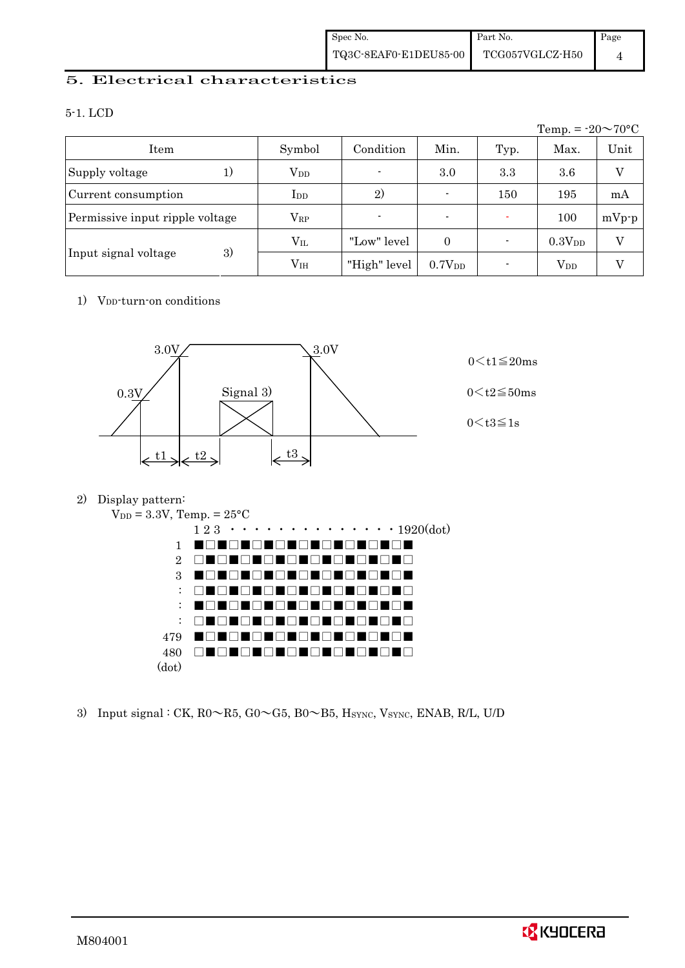### 5. Electrical characteristics

### 5-1. LCD

|                                 |                 |              |                    |      | Temp. = $-20 \sim 70$ °C |         |
|---------------------------------|-----------------|--------------|--------------------|------|--------------------------|---------|
| Item                            | Symbol          | Condition    | Min.               | Typ. | Max.                     | Unit    |
| Supply voltage<br>1)            | $V_{DD}$        |              | 3.0                | 3.3  | 3.6                      | V       |
| Current consumption             | $_{\rm{LDD}}$   | 2)           | $\blacksquare$     | 150  | 195                      | mA      |
| Permissive input ripple voltage | $\rm V_{RP}$    |              | $\blacksquare$     |      | 100                      | $mVp-p$ |
|                                 | $\rm V_{II}$    | "Low" level  | $\Omega$           |      | $0.3V_{DD}$              | V       |
| 3)<br>Input signal voltage      | V <sub>IH</sub> | "High" level | 0.7V <sub>DD</sub> |      | $\rm V_{DD}$             |         |

### 1) V<sub>DD</sub>-turn-on conditions



### 2) Display pattern:



3) Input signal : CK,  $R0 \sim R5$ ,  $G0 \sim G5$ ,  $B0 \sim B5$ ,  $H_{\text{SYNC}}$ ,  $V_{\text{SYNC}}$ ,  $ENAB$ ,  $R/L$ ,  $U/D$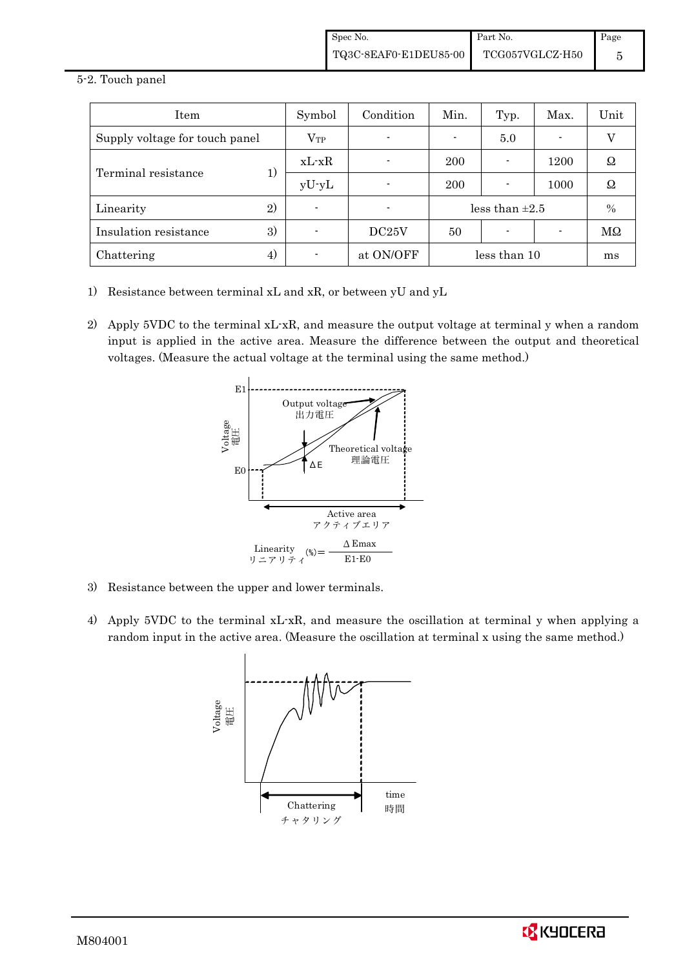#### 5-2. Touch panel

| Item                           | Symbol       | Condition | Min.                | Typ. | Max. | Unit |
|--------------------------------|--------------|-----------|---------------------|------|------|------|
| Supply voltage for touch panel | $\rm V_{TP}$ |           |                     | 5.0  | ۰    | V    |
|                                | $xL-xR$      |           | 200                 |      | 1200 | Ω    |
| Terminal resistance<br>1)      | $yU-yL$      |           | 200                 |      | 1000 | Ω    |
| $\left( 2\right)$<br>Linearity |              |           | less than $\pm 2.5$ |      | $\%$ |      |
| 3)<br>Insulation resistance    |              | DC25V     | 50                  |      |      | MΩ   |
| Chattering<br>4)               |              | at ON/OFF | less than 10        |      | ms   |      |

- 1) Resistance between terminal xL and xR, or between yU and yL
- 2) Apply 5VDC to the terminal xL-xR, and measure the output voltage at terminal y when a random input is applied in the active area. Measure the difference between the output and theoretical voltages. (Measure the actual voltage at the terminal using the same method.)



- 3) Resistance between the upper and lower terminals.
- 4) Apply 5VDC to the terminal xL-xR, and measure the oscillation at terminal y when applying a random input in the active area. (Measure the oscillation at terminal x using the same method.)



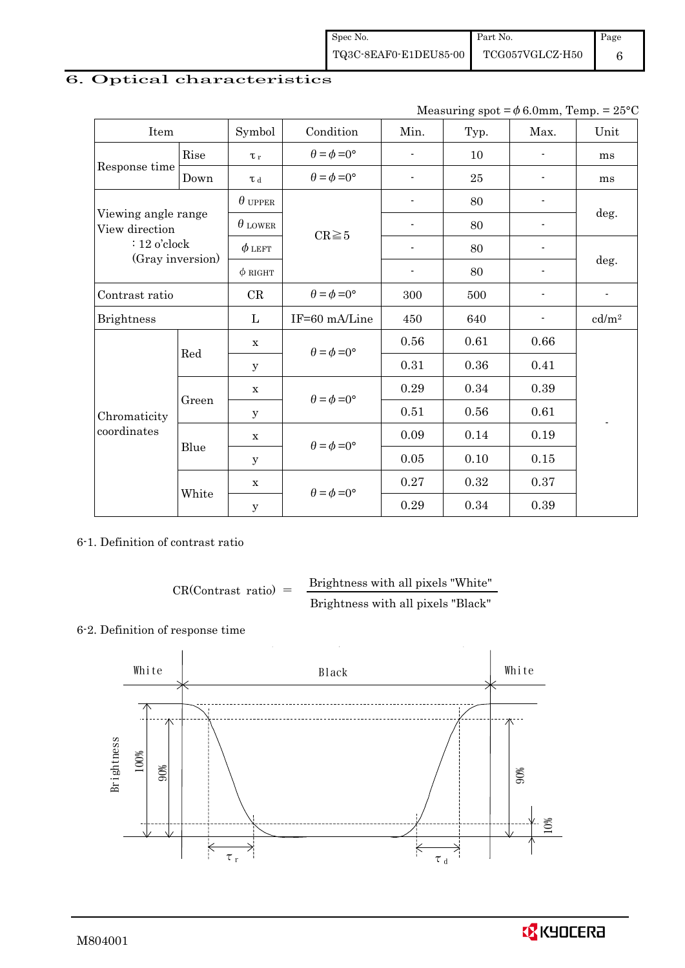# 6. Optical characteristics

| Measuring spot = $\phi$ 6.0mm, Temp. = 25°C |
|---------------------------------------------|
|---------------------------------------------|

| Item                                  |       | Symbol         | Condition                   | Min.                     | Typ.   | Max.                     | Unit              |  |
|---------------------------------------|-------|----------------|-----------------------------|--------------------------|--------|--------------------------|-------------------|--|
|                                       | Rise  | $\tau_r$       | $\theta = \phi = 0^{\circ}$ | $\blacksquare$           | 10     |                          | ms                |  |
| Response time                         | Down  | $\tau$ d       | $\theta = \phi = 0^{\circ}$ |                          | $25\,$ |                          | ms                |  |
|                                       |       | $\theta$ upper |                             | $\overline{\phantom{a}}$ | 80     |                          |                   |  |
| Viewing angle range<br>View direction |       | $\theta$ lower | $CR \ge 5$                  |                          | 80     |                          | deg.              |  |
| $: 12$ o'clock                        |       | $\phi$ left    |                             | $\blacksquare$           | 80     | $\overline{\phantom{a}}$ |                   |  |
| (Gray inversion)                      |       | $\phi$ right   |                             | $\blacksquare$           | 80     |                          | deg.              |  |
| Contrast ratio                        |       | CR             | $\theta = \phi = 0^{\circ}$ | 300                      | 500    | $\overline{a}$           |                   |  |
| <b>Brightness</b>                     |       | L              | IF=60 mA/Line               | 450                      | 640    |                          | cd/m <sup>2</sup> |  |
| Red                                   |       | X              | $\theta = \phi = 0^{\circ}$ | 0.56                     | 0.61   | 0.66                     |                   |  |
| Chromaticity<br>coordinates           |       | y              |                             | 0.31                     | 0.36   | 0.41                     |                   |  |
|                                       | Green | $\mathbf X$    | $\theta = \phi = 0^{\circ}$ | 0.29                     | 0.34   | 0.39                     |                   |  |
|                                       |       | у              |                             | 0.51                     | 0.56   | 0.61                     |                   |  |
|                                       | Blue  | $\mathbf X$    | $\theta = \phi = 0^{\circ}$ | 0.09                     | 0.14   | 0.19                     |                   |  |
|                                       |       | У              |                             | 0.05                     | 0.10   | 0.15                     |                   |  |
|                                       |       | $\mathbf x$    | $\theta = \phi = 0^{\circ}$ | 0.27                     | 0.32   | 0.37                     |                   |  |
|                                       | White | $\mathbf y$    |                             | 0.29                     | 0.34   | 0.39                     |                   |  |

### 6-1. Definition of contrast ratio

$$
CR(Contrast ratio) = \frac{Brightness with all pixels "White" }{Brightness with all pixels "Black" }
$$

# 6-2. Definition of response time

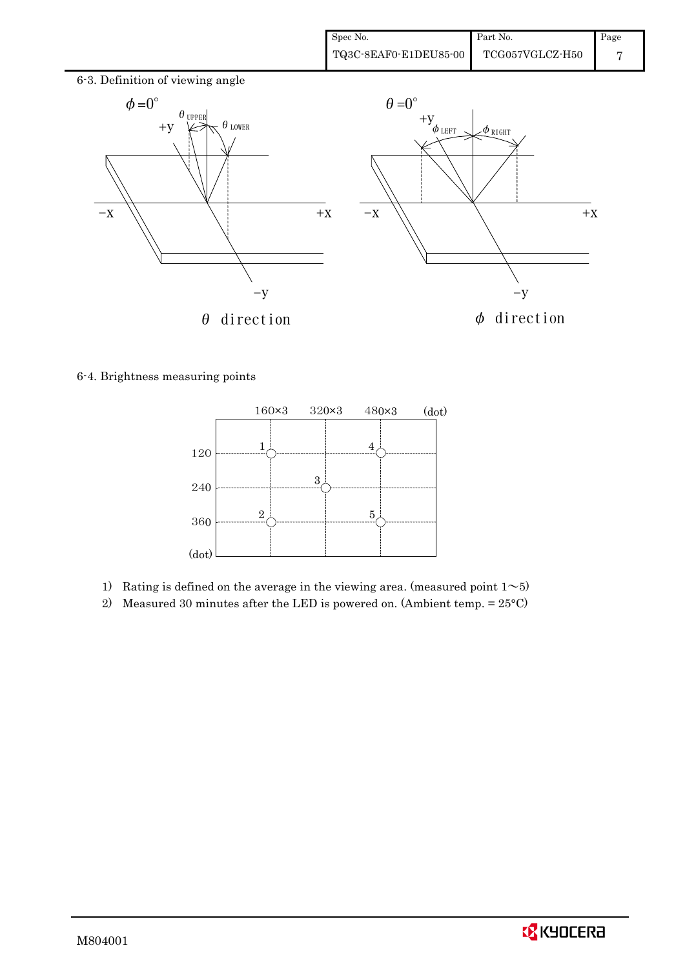

6-4. Brightness measuring points



- 1) Rating is defined on the average in the viewing area. (measured point  $1~$
- 2) Measured 30 minutes after the LED is powered on. (Ambient temp.  $= 25^{\circ}$ C)

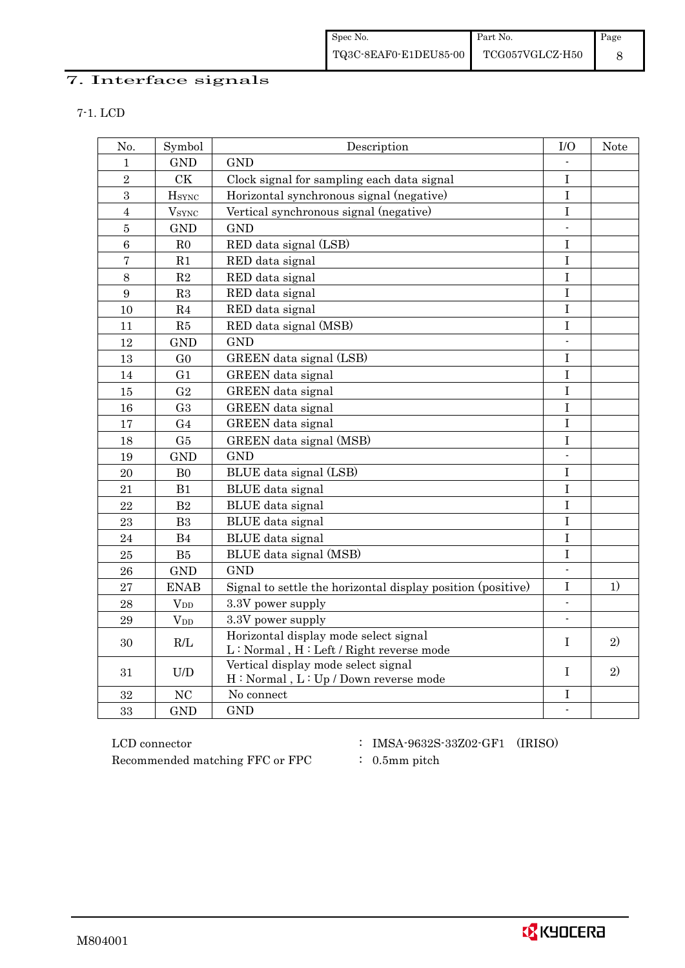# 7. Interface signals

| No.            | Symbol                     | Description                                                                      | I/O                      | Note         |
|----------------|----------------------------|----------------------------------------------------------------------------------|--------------------------|--------------|
| $\mathbf{1}$   | <b>GND</b>                 | <b>GND</b>                                                                       |                          |              |
| $\overline{2}$ | <b>CK</b>                  | Clock signal for sampling each data signal                                       | $\mathbf I$              |              |
| 3              | $\mathbf{H}_{\text{SYNC}}$ | Horizontal synchronous signal (negative)                                         |                          |              |
| $\overline{4}$ | <b>V</b> <sub>SYNC</sub>   | Vertical synchronous signal (negative)                                           | $\mathbf I$              |              |
| $\overline{5}$ | <b>GND</b>                 | <b>GND</b>                                                                       | $\overline{a}$           |              |
| $\overline{6}$ | R <sub>0</sub>             | RED data signal (LSB)                                                            | $\mathbf I$              |              |
| $\overline{7}$ | R1                         | RED data signal                                                                  | I                        |              |
| $\,8\,$        | R2                         | RED data signal                                                                  | $\bf I$                  |              |
| 9              | R3                         | RED data signal                                                                  | $\bf I$                  |              |
| 10             | R <sub>4</sub>             | RED data signal                                                                  | I                        |              |
| 11             | R5                         | RED data signal (MSB)                                                            | $\bf I$                  |              |
| 12             | <b>GND</b>                 | <b>GND</b>                                                                       | $\overline{\phantom{a}}$ |              |
| 13             | G <sub>0</sub>             | GREEN data signal (LSB)                                                          | I                        |              |
| 14             | G <sub>1</sub>             | GREEN data signal                                                                | $\mathbf I$              |              |
| 15             | G <sub>2</sub>             | GREEN data signal                                                                | $\overline{I}$           |              |
| 16             | G <sub>3</sub>             | GREEN data signal                                                                | $\mathbf I$              |              |
| 17             | G <sub>4</sub>             | GREEN data signal                                                                | $\bf I$                  |              |
| 18             | G <sub>5</sub>             | GREEN data signal (MSB)                                                          | I                        |              |
| 19             | <b>GND</b>                 | <b>GND</b>                                                                       |                          |              |
| 20             | B <sub>0</sub>             | BLUE data signal (LSB)                                                           | I                        |              |
| 21             | B1                         | BLUE data signal                                                                 | $\mathbf I$              |              |
| 22             | B <sub>2</sub>             | <b>BLUE</b> data signal                                                          | $\bf I$                  |              |
| 23             | B <sub>3</sub>             | BLUE data signal                                                                 | $\mathbf I$              |              |
| 24             | B <sub>4</sub>             | BLUE data signal                                                                 | I                        |              |
| 25             | B5                         | BLUE data signal (MSB)                                                           | $\bf I$                  |              |
| 26             | <b>GND</b>                 | <b>GND</b>                                                                       | $\blacksquare$           |              |
| 27             | <b>ENAB</b>                | Signal to settle the horizontal display position (positive)                      | I                        | 1)           |
| 28             | $V_{DD}$                   | 3.3V power supply                                                                | $\mathbf{r}$             |              |
| 29             | $V_{DD}$                   | 3.3V power supply                                                                | $\blacksquare$           |              |
| 30             | R/L                        | Horizontal display mode select signal<br>L: Normal, H: Left / Right reverse mode | T                        | $\mathbf{2}$ |
| 31             | U/D                        | Vertical display mode select signal<br>H: Normal, L: Up / Down reverse mode      | T                        | 2)           |
| 32             | NC                         | No connect                                                                       | I                        |              |
| 33             | <b>GND</b>                 | <b>GND</b>                                                                       | $\overline{\phantom{a}}$ |              |

 ${\rm LCD~connector} ~~:~{\rm IMSA\text{-}9632S\text{-}33Z02\text{-}GF1}~~({\rm IRISO})$ Recommended matching FFC or FPC : 0.5mm pitch

- 
-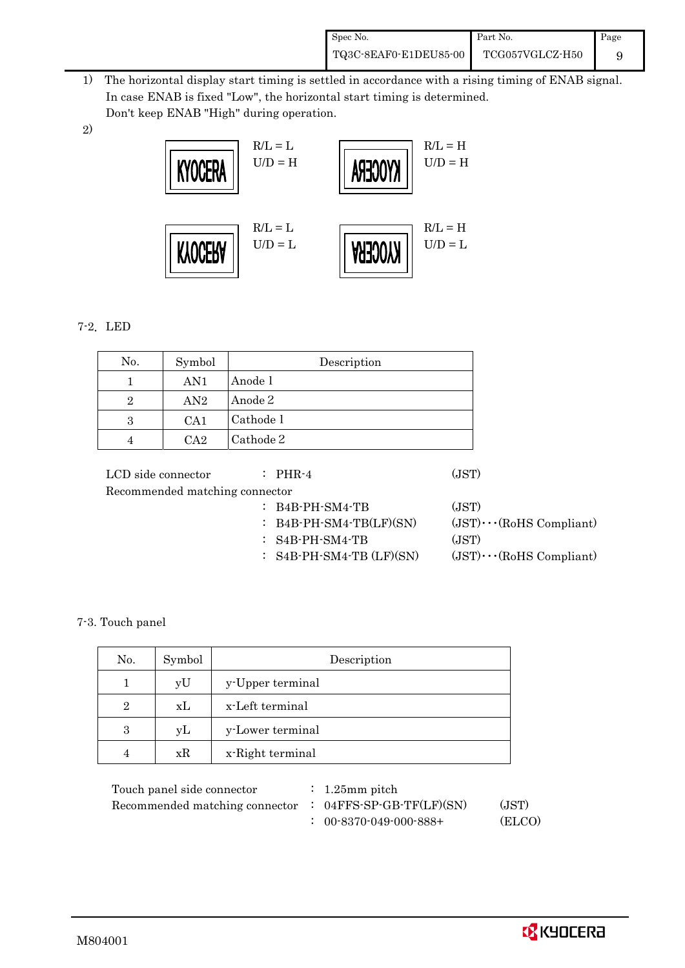| Spec No.              | Part No.        | Page |
|-----------------------|-----------------|------|
| TQ3C-8EAF0-E1DEU85-00 | TCG057VGLCZ-H50 |      |

- 1) The horizontal display start timing is settled in accordance with a rising timing of ENAB signal. In case ENAB is fixed "Low", the horizontal start timing is determined. Don't keep ENAB "High" during operation.
- 2)



## 7-2.LED

| No.            | Symbol | Description |
|----------------|--------|-------------|
|                | AN1    | Anode 1     |
| $\overline{2}$ | AN2    | Anode 2     |
| 3              | CA1    | Cathode 1   |
|                | $C_A2$ | Cathode 2   |

| LCD side connector             | $\therefore$ PHR-4           | (JST)                          |
|--------------------------------|------------------------------|--------------------------------|
| Recommended matching connector |                              |                                |
|                                | $:$ B4B-PH-SM4-TB            | (JST)                          |
|                                | $:$ B4B-PH-SM4-TB(LF)(SN)    | $(JST)\cdots (RoHS Compliant)$ |
|                                | $:$ S4B-PH-SM4-TB            | (JST)                          |
|                                | $:$ S4B-PH-SM4-TB $(LF)(SN)$ | $(JST)\cdots (RoHS Compliant)$ |
|                                |                              |                                |

### 7-3. Touch panel

| No.            | Symbol | Description      |
|----------------|--------|------------------|
|                | yU     | y-Upper terminal |
| $\overline{2}$ | xL     | x-Left terminal  |
| 3              | уL     | y-Lower terminal |
|                | xR     | x-Right terminal |

| Touch panel side connector     | $\therefore$ 1.25 mm pitch        |        |
|--------------------------------|-----------------------------------|--------|
| Recommended matching connector | $: 04FFS-SP-GB-TF(LF)(SN)$        | (JST)  |
|                                | $: 00 - 8370 - 049 - 000 - 888 +$ | (ELCO) |

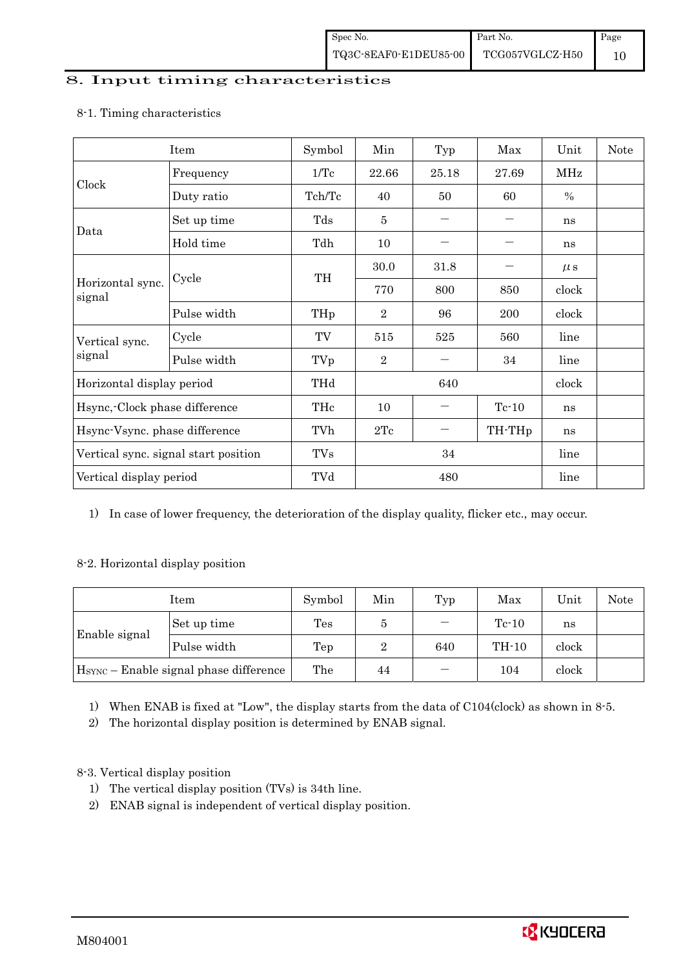### 8. Input timing characteristics

# Item Symbol Min Typ Max Unit Note Frequency 1/Tc 22.66 25.18 27.69 MHz Clock Duty ratio  $\begin{array}{|c|c|c|c|c|c|c|c|c|} \hline \end{array}$  Tch/Tc  $\begin{array}{|c|c|c|c|c|c|c|} \hline \end{array}$  60  $\begin{array}{|c|c|c|c|c|c|} \hline \end{array}$  % Set up time Tds 5 - - ns Data Hold time Tdh 10 - - ns  $30.0$   $31.8$   $\mu s$ Cycle TH Horizontal sync. Cycle TH 770 800 850 clock signal Pulse width  $THp \mid 2 \mid 96 \mid 200 \mid clock$ Cycle TV 515 525 560 line Vertical sync. signal Pulse width TVp 2 - 34 line Horizontal display period THd 640 640 clock Hsync,-Clock phase difference  $\vert$  THc  $\vert$  10  $\vert$  - Tc-10  $\vert$  ns Hsync-Vsync. phase difference  $\vert$  TVh  $\vert$  2Tc  $\vert$  - TH-THp ns Vertical sync. signal start position  $\begin{array}{|c|c|c|c|c|c|c|c|c|} \hline \text{V} & \text{TVs} & 34 & \text{line} \end{array}$  line Vertical display period  $\overline{Y}$  TVd  $\overline{480}$  line

### 8-1. Timing characteristics

1) In case of lower frequency, the deterioration of the display quality, flicker etc., may occur.

### 8-2. Horizontal display position

|               | Item                                               | Symbol         | Min | Typ | Max     | Unit  | Note |
|---------------|----------------------------------------------------|----------------|-----|-----|---------|-------|------|
| Enable signal | Set up time                                        | $\mathrm{Tes}$ | Ð   |     | $Tc-10$ | ns    |      |
|               | Pulse width                                        | Tep            | 2   | 640 | TH-10   | clock |      |
|               | H <sub>SYNC</sub> - Enable signal phase difference | The            | 44  |     | 104     | clock |      |

1) When ENAB is fixed at "Low", the display starts from the data of C104(clock) as shown in 8-5.

2) The horizontal display position is determined by ENAB signal.

### 8-3. Vertical display position

- 1) The vertical display position (TVs) is 34th line.
- 2) ENAB signal is independent of vertical display position.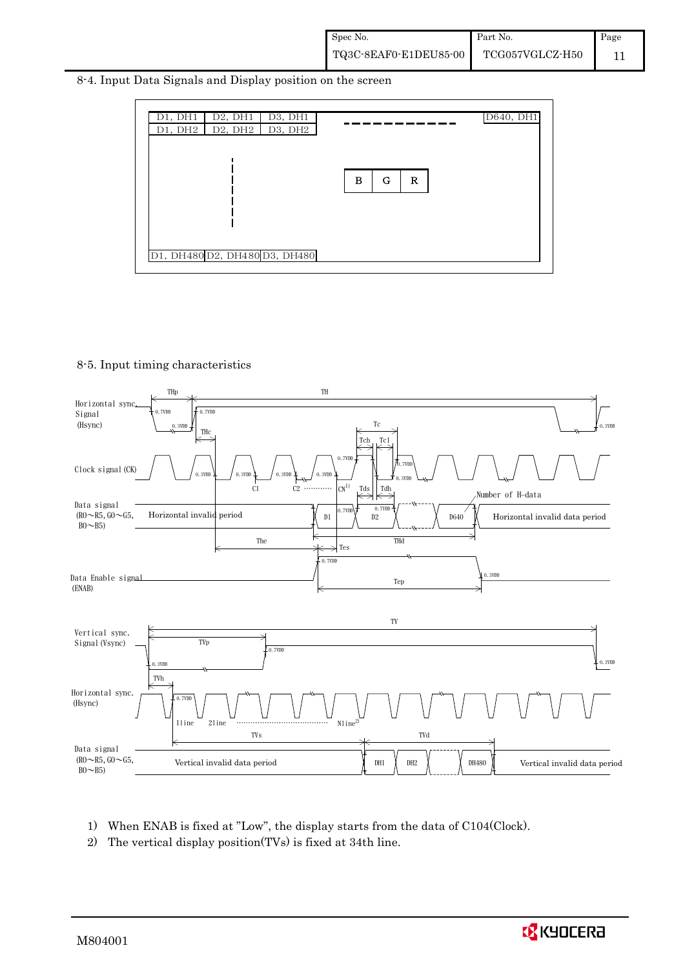8-4. Input Data Signals and Display position on the screen



#### 8-5. Input timing characteristics



- 1) When ENAB is fixed at "Low", the display starts from the data of C104(Clock).
- 2) The vertical display position(TVs) is fixed at 34th line.

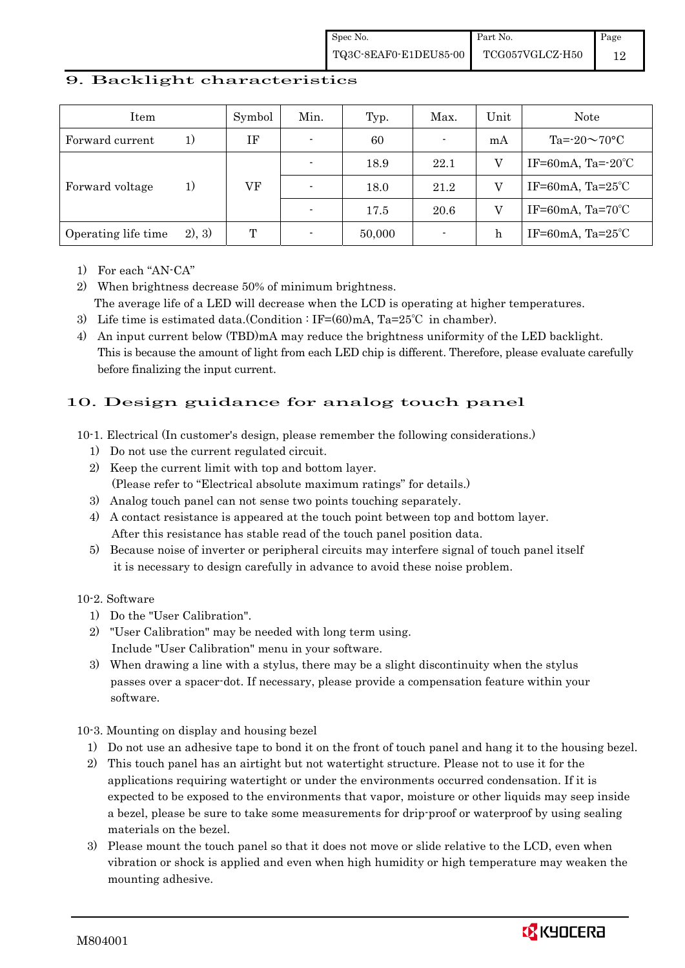### 9. Backlight characteristics

| Item                |        | Symbol | Min.                     | Typ.   | Max.           | Unit | Note                         |
|---------------------|--------|--------|--------------------------|--------|----------------|------|------------------------------|
| Forward current     | 1)     | ΙF     | $\overline{\phantom{0}}$ | 60     | $\blacksquare$ | mA   | Ta= $-20 \sim 70$ °C         |
|                     | 1)     |        | $\overline{\phantom{0}}$ | 18.9   | 22.1           |      | IF=60mA, Ta= $-20^{\circ}$ C |
| Forward voltage     |        | VF     | $\overline{\phantom{a}}$ | 18.0   | 21.2           |      | IF=60mA, $Ta=25^{\circ}C$    |
|                     |        |        |                          | 17.5   | 20.6           |      | IF=60mA, $Ta=70^{\circ}C$    |
| Operating life time | 2), 3) | Т      |                          | 50,000 | $\blacksquare$ | h    | IF=60mA, $Ta=25^{\circ}C$    |

1) For each "AN-CA"

2) When brightness decrease 50% of minimum brightness. The average life of a LED will decrease when the LCD is operating at higher temperatures.

- 3) Life time is estimated data.(Condition : IF=(60)mA, Ta=25°C in chamber).
- 4) An input current below (TBD)mA may reduce the brightness uniformity of the LED backlight. This is because the amount of light from each LED chip is different. Therefore, please evaluate carefully before finalizing the input current.

# 10. Design guidance for analog touch panel

10-1. Electrical (In customer's design, please remember the following considerations.)

- 1) Do not use the current regulated circuit.
- 2) Keep the current limit with top and bottom layer. (Please refer to "Electrical absolute maximum ratings" for details.)
- 3) Analog touch panel can not sense two points touching separately.
- 4) A contact resistance is appeared at the touch point between top and bottom layer. After this resistance has stable read of the touch panel position data.
- 5) Because noise of inverter or peripheral circuits may interfere signal of touch panel itself it is necessary to design carefully in advance to avoid these noise problem.

#### 10-2. Software

- 1) Do the "User Calibration".
- 2) "User Calibration" may be needed with long term using. Include "User Calibration" menu in your software.
- 3) When drawing a line with a stylus, there may be a slight discontinuity when the stylus passes over a spacer-dot. If necessary, please provide a compensation feature within your software.

#### 10-3. Mounting on display and housing bezel

- 1) Do not use an adhesive tape to bond it on the front of touch panel and hang it to the housing bezel.
- 2) This touch panel has an airtight but not watertight structure. Please not to use it for the applications requiring watertight or under the environments occurred condensation. If it is expected to be exposed to the environments that vapor, moisture or other liquids may seep inside a bezel, please be sure to take some measurements for drip-proof or waterproof by using sealing materials on the bezel.
- 3) Please mount the touch panel so that it does not move or slide relative to the LCD, even when vibration or shock is applied and even when high humidity or high temperature may weaken the mounting adhesive.

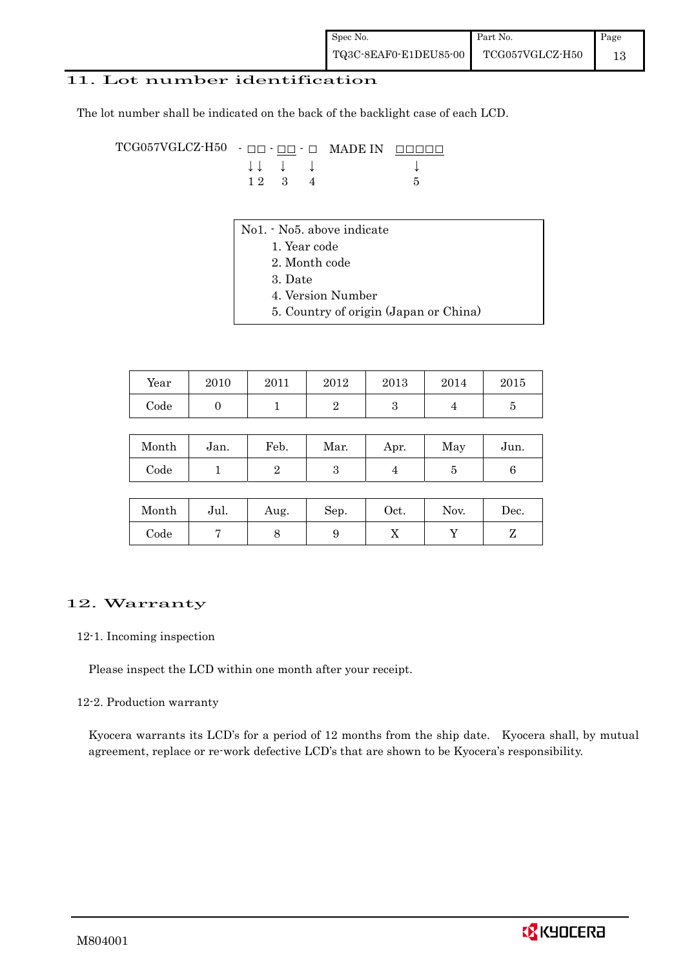### 11. Lot number identification

The lot number shall be indicated on the back of the backlight case of each LCD.

TCG057VGLCZ-H50 - ŌŌ - ŌŌ - Ō MADE IN ŌŌŌŌŌ  $\downarrow \downarrow \quad \downarrow \quad \downarrow \qquad \qquad \downarrow$  $1 \ 2 \ 3 \ 4$  5

- No1. No5. above indicate
	- 1. Year code
		- 2. Month code
		- 3. Date
		- 4. Version Number
	- 5. Country of origin (Japan or China)

| Year       | 2010 | 2011 | 2012 | 2013 | 2014 | 2015 |
|------------|------|------|------|------|------|------|
| $\rm Code$ |      |      |      |      |      |      |

| Month | Jan. | Feb. | Mar. | Apr. | May | Jun. |
|-------|------|------|------|------|-----|------|
| Code  |      |      |      |      |     |      |

| Month      | Jul. | Aug. | Sep. | Oct. | Nov. | $\operatorname{Dec.}$ |
|------------|------|------|------|------|------|-----------------------|
| $\rm Code$ |      |      |      | ∡⊾   |      |                       |

### 12. Warranty

#### 12-1. Incoming inspection

Please inspect the LCD within one month after your receipt.

#### 12-2. Production warranty

 Kyocera warrants its LCD's for a period of 12 months from the ship date. Kyocera shall, by mutual agreement, replace or re-work defective LCD's that are shown to be Kyocera's responsibility.

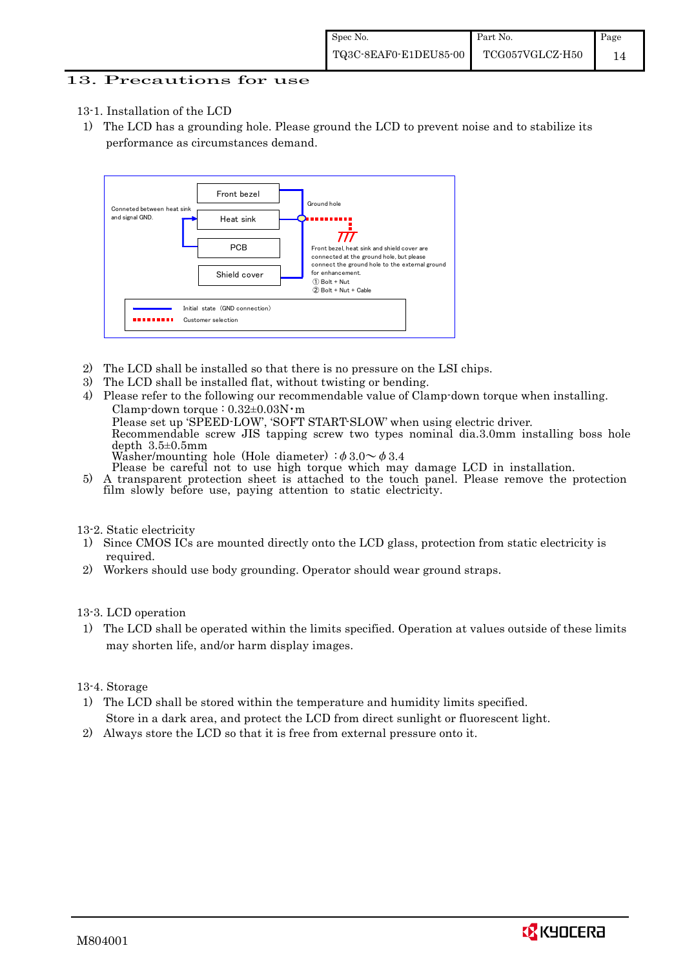### 13. Precautions for use

- 13-1. Installation of the LCD
- 1) The LCD has a grounding hole. Please ground the LCD to prevent noise and to stabilize its performance as circumstances demand.



- 2) The LCD shall be installed so that there is no pressure on the LSI chips.
- 3) The LCD shall be installed flat, without twisting or bending.

4) Please refer to the following our recommendable value of Clamp-down torque when installing. Clamp-down torque :  $0.32 \pm 0.03$ N·m Please set up 'SPEED-LOW', 'SOFT START-SLOW' when using electric driver. Recommendable screw JIS tapping screw two types nominal dia.3.0mm installing boss hole depth 3.5±0.5mm Washer/mounting hole (Hole diameter)  $\phi$  3.0 $\sim \phi$  3.4<br>Please be careful not to use high torque which may damage LCD in installation.

5) A transparent protection sheet is attached to the touch panel. Please remove the protection film slowly before use, paying attention to static electricity.

#### 13-2. Static electricity

- 1) Since CMOS ICs are mounted directly onto the LCD glass, protection from static electricity is required.
- 2) Workers should use body grounding. Operator should wear ground straps.

#### 13-3. LCD operation

1) The LCD shall be operated within the limits specified. Operation at values outside of these limits may shorten life, and/or harm display images.

#### 13-4. Storage

- 1) The LCD shall be stored within the temperature and humidity limits specified. Store in a dark area, and protect the LCD from direct sunlight or fluorescent light.
- 2) Always store the LCD so that it is free from external pressure onto it.

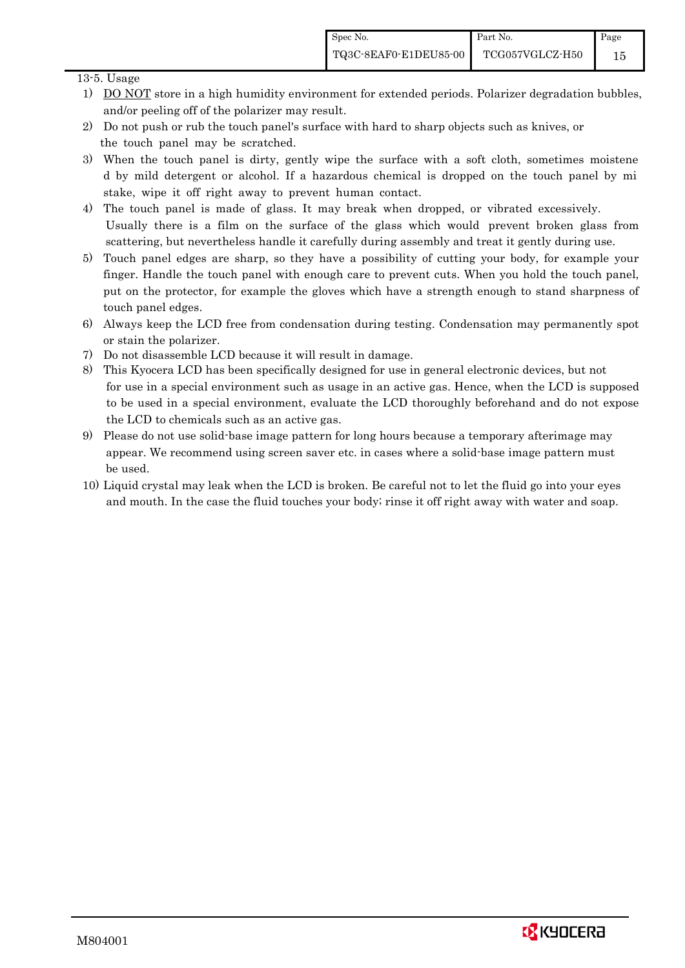### 13-5. Usage

- 1) DO NOT store in a high humidity environment for extended periods. Polarizer degradation bubbles, and/or peeling off of the polarizer may result.
- 2) Do not push or rub the touch panel's surface with hard to sharp objects such as knives, or the touch panel may be scratched.
- 3) When the touch panel is dirty, gently wipe the surface with a soft cloth, sometimes moistene d by mild detergent or alcohol. If a hazardous chemical is dropped on the touch panel by mi stake, wipe it off right away to prevent human contact.
- 4) The touch panel is made of glass. It may break when dropped, or vibrated excessively. Usually there is a film on the surface of the glass which would prevent broken glass from scattering, but nevertheless handle it carefully during assembly and treat it gently during use.
- 5) Touch panel edges are sharp, so they have a possibility of cutting your body, for example your finger. Handle the touch panel with enough care to prevent cuts. When you hold the touch panel, put on the protector, for example the gloves which have a strength enough to stand sharpness of touch panel edges.
- 6) Always keep the LCD free from condensation during testing. Condensation may permanently spot or stain the polarizer.
- 7) Do not disassemble LCD because it will result in damage.
- 8) This Kyocera LCD has been specifically designed for use in general electronic devices, but not for use in a special environment such as usage in an active gas. Hence, when the LCD is supposed to be used in a special environment, evaluate the LCD thoroughly beforehand and do not expose the LCD to chemicals such as an active gas.
- 9) Please do not use solid-base image pattern for long hours because a temporary afterimage may appear. We recommend using screen saver etc. in cases where a solid-base image pattern must be used.
- 10) Liquid crystal may leak when the LCD is broken. Be careful not to let the fluid go into your eyes and mouth. In the case the fluid touches your body; rinse it off right away with water and soap.

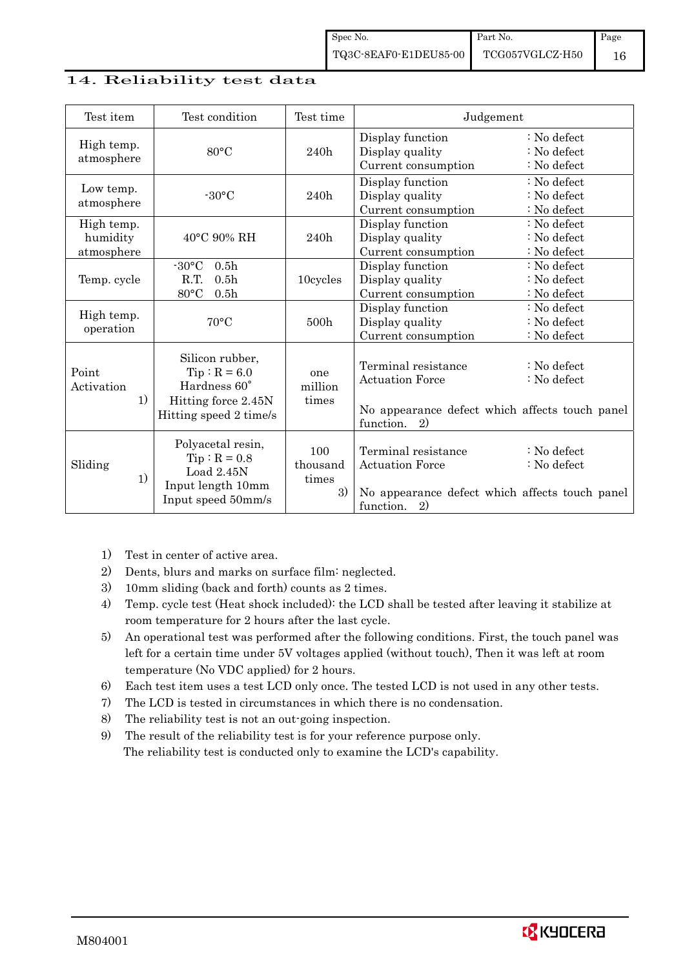### 14. Reliability test data

| Test item                            | Test condition                                                                                     | Test time                      | Judgement                                                                                                          |                                             |
|--------------------------------------|----------------------------------------------------------------------------------------------------|--------------------------------|--------------------------------------------------------------------------------------------------------------------|---------------------------------------------|
| High temp.<br>atmosphere             | $80^{\circ}$ C                                                                                     | 240h                           | Display function<br>Display quality<br>Current consumption                                                         | $: No$ defect<br>: No defect<br>: No defect |
| Low temp.<br>atmosphere              | $-30^{\circ}$ C                                                                                    | 240h                           | Display function<br>Display quality<br>Current consumption                                                         | : No defect<br>$: No$ defect<br>: No defect |
| High temp.<br>humidity<br>atmosphere | 40°C 90% RH                                                                                        | 240h                           | Display function<br>Display quality<br>Current consumption                                                         | $: No$ defect<br>: No defect<br>: No defect |
| Temp. cycle                          | $-30$ °C<br>0.5 <sub>h</sub><br>R.T.<br>0.5 <sub>h</sub><br>80°C<br>0.5 <sub>h</sub>               | 10cycles                       | Display function<br>Display quality<br>Current consumption                                                         | : No defect<br>$: No$ defect<br>: No defect |
| High temp.<br>operation              | $70^{\circ}$ C                                                                                     | 500h                           | Display function<br>Display quality<br>Current consumption                                                         | : No defect<br>$: No$ defect<br>: No defect |
| Point<br>Activation<br>1)            | Silicon rubber,<br>$Tip: R = 6.0$<br>Hardness 60°<br>Hitting force 2.45N<br>Hitting speed 2 time/s | one<br>million<br>times        | Terminal resistance<br><b>Actuation Force</b><br>No appearance defect which affects touch panel<br>function.<br>2) | $\therefore$ No defect<br>: No defect       |
| Sliding<br>1)                        | Polyacetal resin,<br>$Tip: R = 0.8$<br>Load $2.45N$<br>Input length 10mm<br>Input speed 50mm/s     | 100<br>thousand<br>times<br>3) | Terminal resistance<br><b>Actuation Force</b><br>No appearance defect which affects touch panel<br>function.<br>2) | $\therefore$ No defect<br>: No defect       |

- 1) Test in center of active area.
- 2) Dents, blurs and marks on surface film: neglected.
- 3) 10mm sliding (back and forth) counts as 2 times.
- 4) Temp. cycle test (Heat shock included): the LCD shall be tested after leaving it stabilize at room temperature for 2 hours after the last cycle.
- 5) An operational test was performed after the following conditions. First, the touch panel was left for a certain time under 5V voltages applied (without touch), Then it was left at room temperature (No VDC applied) for 2 hours.
- 6) Each test item uses a test LCD only once. The tested LCD is not used in any other tests.
- 7) The LCD is tested in circumstances in which there is no condensation.
- 8) The reliability test is not an out-going inspection.
- 9) The result of the reliability test is for your reference purpose only. The reliability test is conducted only to examine the LCD's capability.

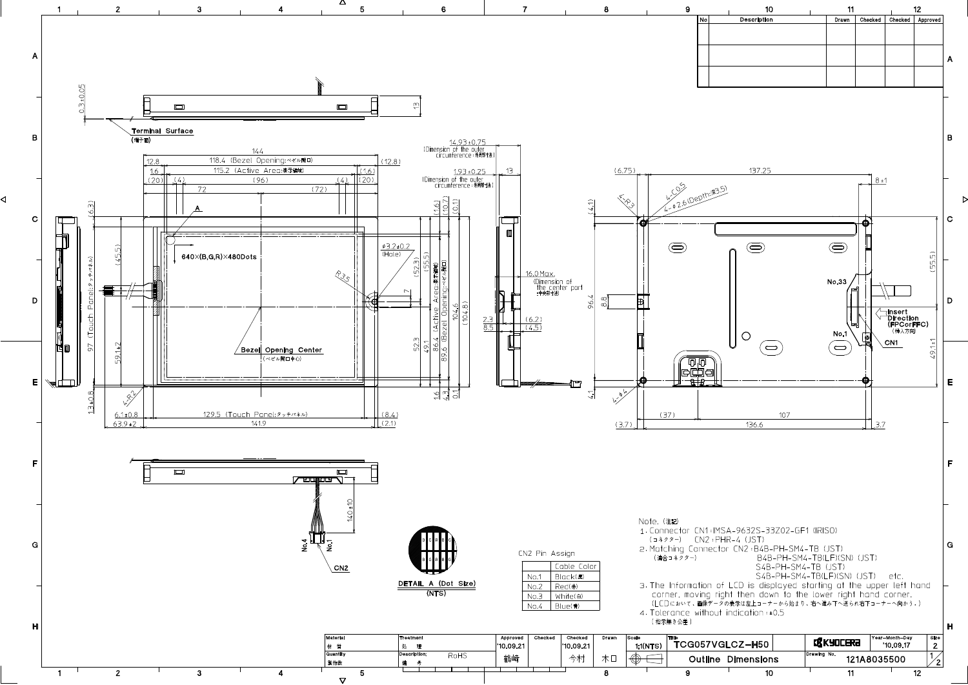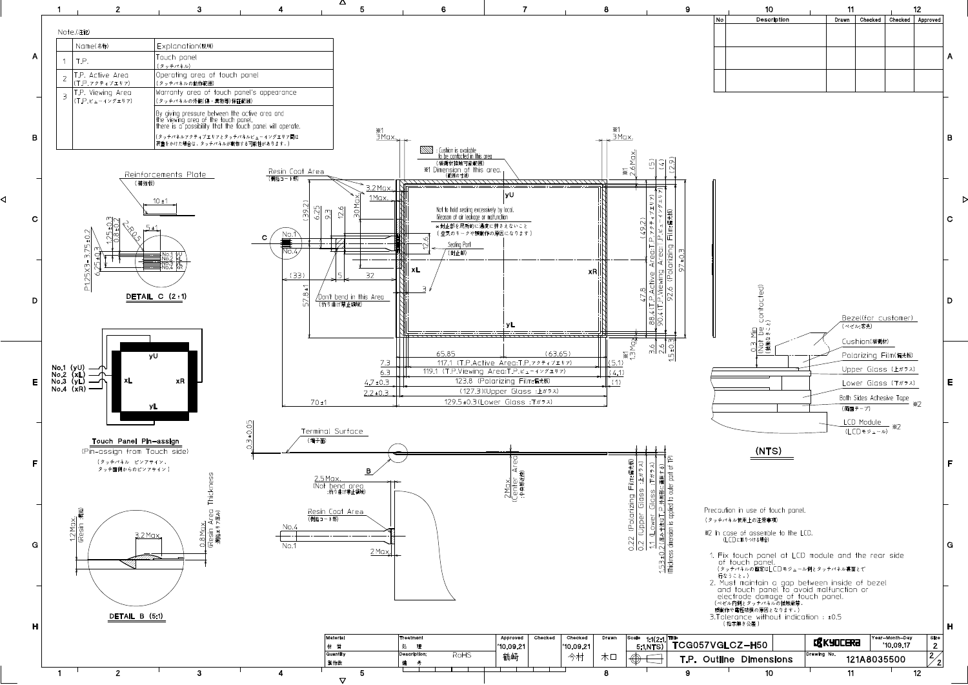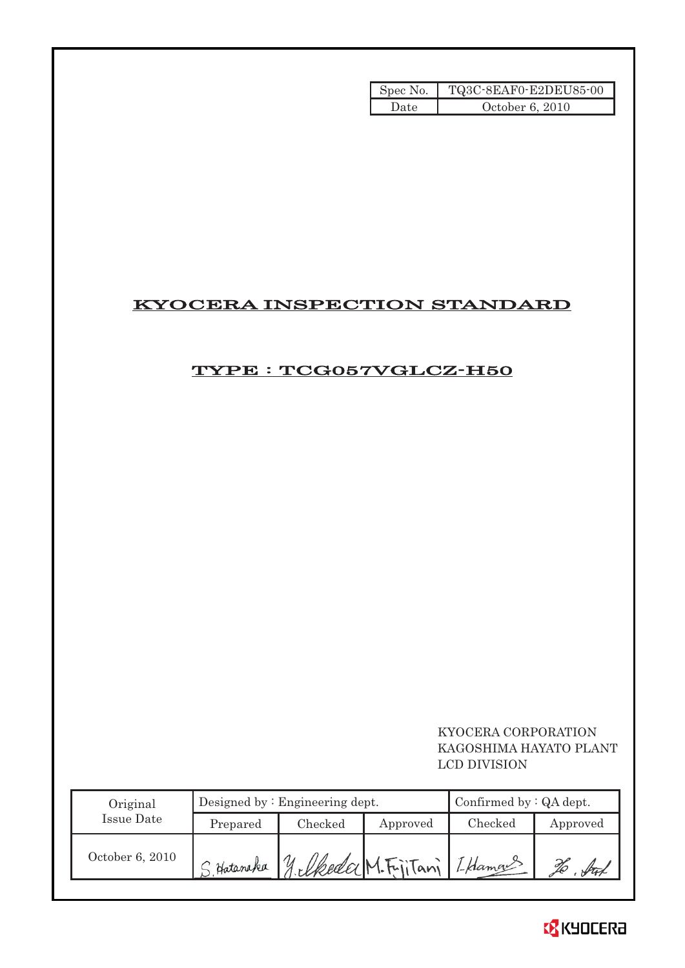| Spec No. $\vert$ | TQ3C-8EAF0-E2DEU85-00 |
|------------------|-----------------------|
| Date             | October 6, 2010       |

# KYOCERA INSPECTION STANDARD

# TYPE : TCG057VGLCZ-H50

 KYOCERA CORPORATION KAGOSHIMA HAYATO PLANT LCD DIVISION

| Original        |            | Designed by $:$ Engineering dept. | Confirmed by $:QA$ dept. |         |          |
|-----------------|------------|-----------------------------------|--------------------------|---------|----------|
| Issue Date      | Prepared   | Checked                           | Approved                 | Checked | Approved |
| October 6, 2010 | S Hatanaka | 1/ elkeda M. Fritani [Lklamaus    |                          |         |          |

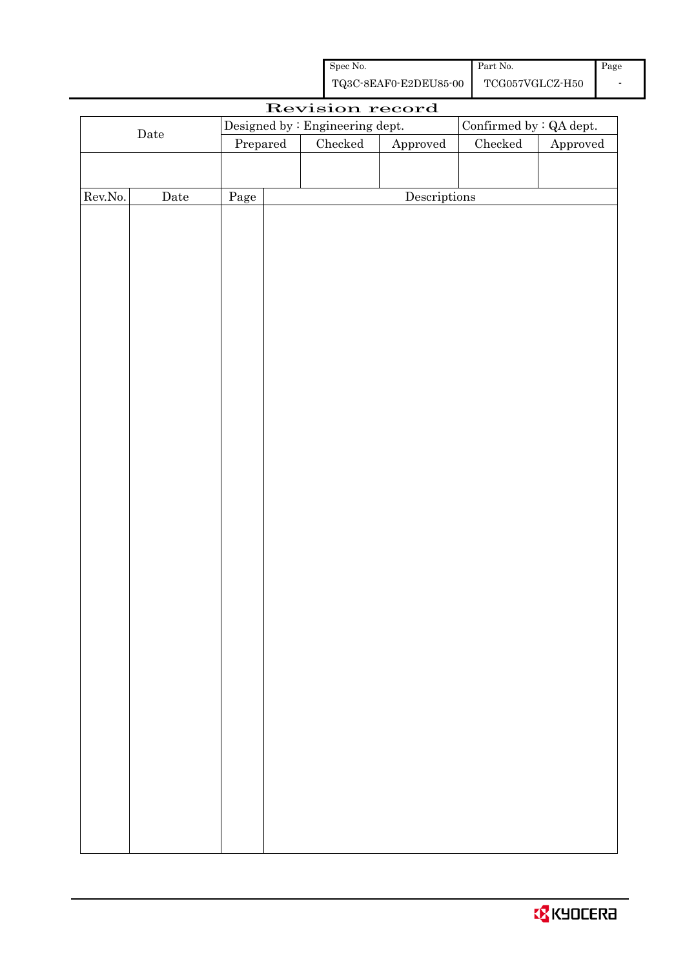| Spec No.              | Part No.        | Page |
|-----------------------|-----------------|------|
| TQ3C-8EAF0-E2DEU85-00 | TCG057VGLCZ-H50 |      |

|         |             |          | Revision record                 |              |                         |          |
|---------|-------------|----------|---------------------------------|--------------|-------------------------|----------|
|         |             |          | Designed by : Engineering dept. |              | Confirmed by : QA dept. |          |
|         | $\rm{Date}$ | Prepared | $\rm Checked$                   | Approved     | ${\it Checked}$         | Approved |
|         |             |          |                                 |              |                         |          |
|         |             |          |                                 |              |                         |          |
| Rev.No. | $\rm{Date}$ | Page     |                                 | Descriptions |                         |          |
|         |             |          |                                 |              |                         |          |
|         |             |          |                                 |              |                         |          |
|         |             |          |                                 |              |                         |          |
|         |             |          |                                 |              |                         |          |
|         |             |          |                                 |              |                         |          |
|         |             |          |                                 |              |                         |          |
|         |             |          |                                 |              |                         |          |
|         |             |          |                                 |              |                         |          |
|         |             |          |                                 |              |                         |          |
|         |             |          |                                 |              |                         |          |
|         |             |          |                                 |              |                         |          |
|         |             |          |                                 |              |                         |          |
|         |             |          |                                 |              |                         |          |
|         |             |          |                                 |              |                         |          |
|         |             |          |                                 |              |                         |          |
|         |             |          |                                 |              |                         |          |
|         |             |          |                                 |              |                         |          |
|         |             |          |                                 |              |                         |          |
|         |             |          |                                 |              |                         |          |
|         |             |          |                                 |              |                         |          |
|         |             |          |                                 |              |                         |          |
|         |             |          |                                 |              |                         |          |
|         |             |          |                                 |              |                         |          |
|         |             |          |                                 |              |                         |          |
|         |             |          |                                 |              |                         |          |
|         |             |          |                                 |              |                         |          |
|         |             |          |                                 |              |                         |          |
|         |             |          |                                 |              |                         |          |
|         |             |          |                                 |              |                         |          |
|         |             |          |                                 |              |                         |          |
|         |             |          |                                 |              |                         |          |
|         |             |          |                                 |              |                         |          |
|         |             |          |                                 |              |                         |          |
|         |             |          |                                 |              |                         |          |
|         |             |          |                                 |              |                         |          |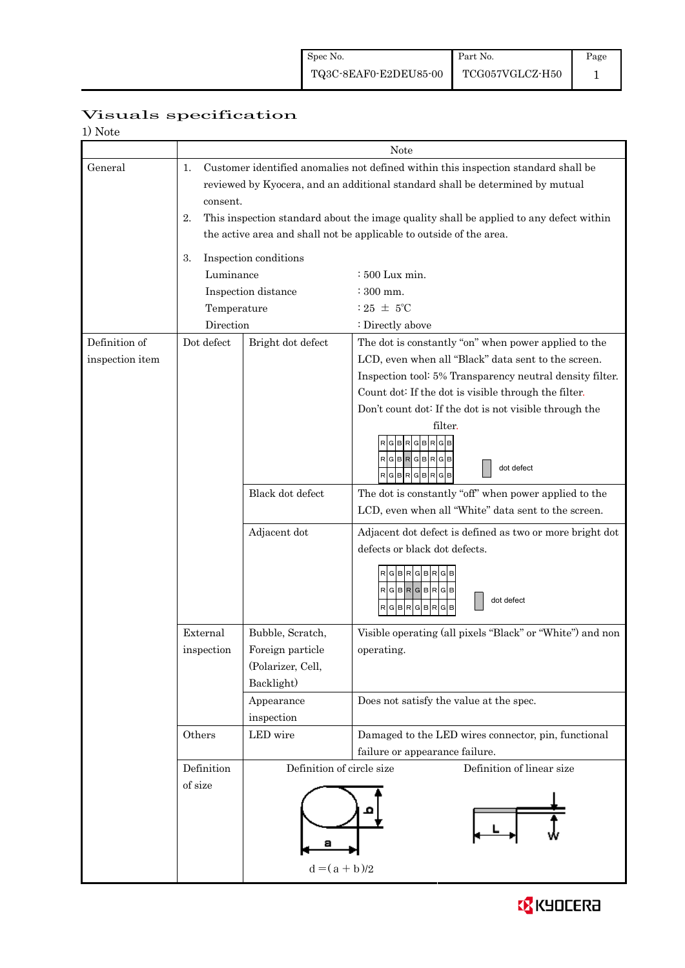| 1) Note         |                                                                                          |                                                                                        |                                                           |  |  |  |  |
|-----------------|------------------------------------------------------------------------------------------|----------------------------------------------------------------------------------------|-----------------------------------------------------------|--|--|--|--|
|                 |                                                                                          | Note                                                                                   |                                                           |  |  |  |  |
| General         | Customer identified anomalies not defined within this inspection standard shall be<br>1. |                                                                                        |                                                           |  |  |  |  |
|                 | reviewed by Kyocera, and an additional standard shall be determined by mutual            |                                                                                        |                                                           |  |  |  |  |
|                 | consent.                                                                                 |                                                                                        |                                                           |  |  |  |  |
|                 | 2.                                                                                       | This inspection standard about the image quality shall be applied to any defect within |                                                           |  |  |  |  |
|                 |                                                                                          | the active area and shall not be applicable to outside of the area.                    |                                                           |  |  |  |  |
|                 |                                                                                          |                                                                                        |                                                           |  |  |  |  |
|                 | 3.                                                                                       | Inspection conditions<br>Luminance                                                     |                                                           |  |  |  |  |
|                 |                                                                                          |                                                                                        | : 500 Lux min.                                            |  |  |  |  |
|                 |                                                                                          | Inspection distance                                                                    | $\div$ 300 mm.<br>$:25 \pm 5^{\circ}$ C                   |  |  |  |  |
|                 | Temperature                                                                              |                                                                                        |                                                           |  |  |  |  |
|                 | Direction                                                                                |                                                                                        | : Directly above                                          |  |  |  |  |
| Definition of   | Dot defect                                                                               | Bright dot defect                                                                      | The dot is constantly "on" when power applied to the      |  |  |  |  |
| inspection item |                                                                                          |                                                                                        | LCD, even when all "Black" data sent to the screen.       |  |  |  |  |
|                 |                                                                                          |                                                                                        | Inspection tool: 5% Transparency neutral density filter.  |  |  |  |  |
|                 |                                                                                          |                                                                                        | Count dot: If the dot is visible through the filter.      |  |  |  |  |
|                 |                                                                                          |                                                                                        | Don't count dot: If the dot is not visible through the    |  |  |  |  |
|                 |                                                                                          |                                                                                        | filter.                                                   |  |  |  |  |
|                 |                                                                                          |                                                                                        | $G$ $B$ $R$ $G$ $B$ $R$ $G$ $B$                           |  |  |  |  |
|                 |                                                                                          |                                                                                        | $R$ G $B$ R $G$ B $R$ G $B$<br>dot defect                 |  |  |  |  |
|                 |                                                                                          |                                                                                        | RGBRGBRGB                                                 |  |  |  |  |
|                 |                                                                                          | Black dot defect                                                                       | The dot is constantly "off" when power applied to the     |  |  |  |  |
|                 |                                                                                          |                                                                                        | LCD, even when all "White" data sent to the screen.       |  |  |  |  |
|                 |                                                                                          | Adjacent dot                                                                           | Adjacent dot defect is defined as two or more bright dot  |  |  |  |  |
|                 |                                                                                          |                                                                                        | defects or black dot defects.                             |  |  |  |  |
|                 |                                                                                          |                                                                                        |                                                           |  |  |  |  |
|                 |                                                                                          |                                                                                        | RGBRGB                                                    |  |  |  |  |
|                 |                                                                                          |                                                                                        | RGBRGBRGB<br>dot defect                                   |  |  |  |  |
|                 |                                                                                          |                                                                                        | $R$ G $B$ $R$<br>G B <br>R<br>GB                          |  |  |  |  |
|                 | External                                                                                 | Bubble, Scratch,                                                                       | Visible operating (all pixels "Black" or "White") and non |  |  |  |  |
|                 | inspection                                                                               | Foreign particle                                                                       | operating.                                                |  |  |  |  |
|                 |                                                                                          | (Polarizer, Cell,                                                                      |                                                           |  |  |  |  |
|                 |                                                                                          | Backlight)                                                                             |                                                           |  |  |  |  |
|                 |                                                                                          | Appearance                                                                             | Does not satisfy the value at the spec.                   |  |  |  |  |
|                 |                                                                                          | inspection                                                                             |                                                           |  |  |  |  |
|                 | Others                                                                                   | LED wire                                                                               | Damaged to the LED wires connector, pin, functional       |  |  |  |  |
|                 |                                                                                          |                                                                                        | failure or appearance failure.                            |  |  |  |  |
|                 | Definition                                                                               | Definition of circle size                                                              | Definition of linear size                                 |  |  |  |  |
|                 | of size                                                                                  |                                                                                        |                                                           |  |  |  |  |
|                 |                                                                                          |                                                                                        |                                                           |  |  |  |  |
|                 |                                                                                          |                                                                                        |                                                           |  |  |  |  |
|                 |                                                                                          |                                                                                        |                                                           |  |  |  |  |
|                 |                                                                                          |                                                                                        |                                                           |  |  |  |  |
|                 |                                                                                          | $d = (a + b)/2$                                                                        |                                                           |  |  |  |  |
|                 |                                                                                          |                                                                                        |                                                           |  |  |  |  |

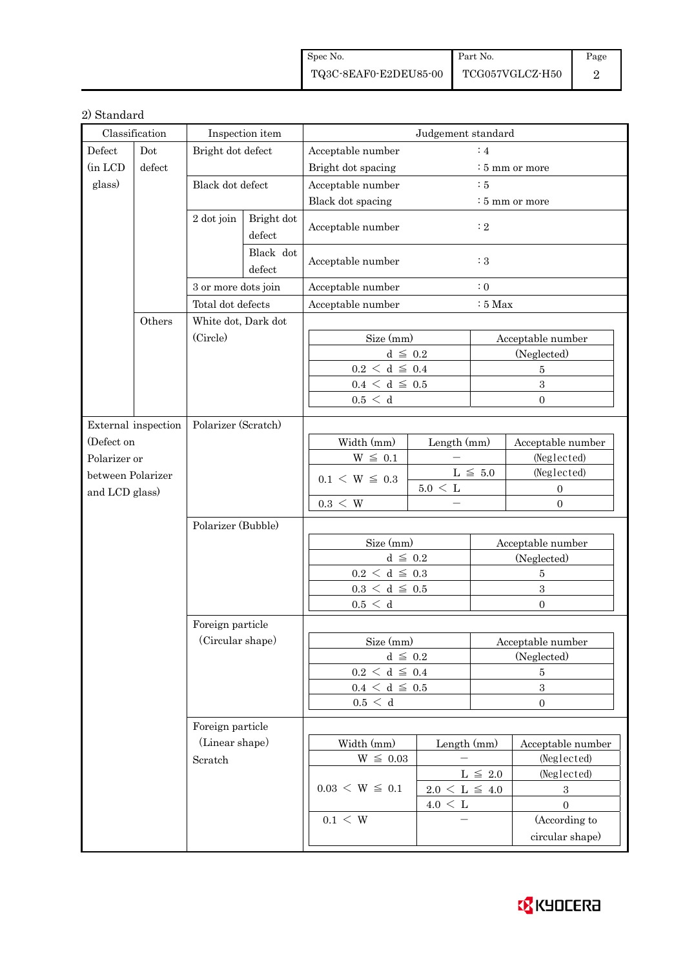| Spec No.                                                                                       | Part No. | Page |
|------------------------------------------------------------------------------------------------|----------|------|
| $\begin{tabular}{c c} \textbf{TQ3C-8EAF0-E2DEUS5-00} & \textbf{TCG057VGLCZ-H50} \end{tabular}$ |          |      |

# 2) Standard

| Classification                                                             |                                            | Inspection item                 |                                | Judgement standard                       |                            |                                      |                                  |  |
|----------------------------------------------------------------------------|--------------------------------------------|---------------------------------|--------------------------------|------------------------------------------|----------------------------|--------------------------------------|----------------------------------|--|
| Defect                                                                     | Dot                                        | Bright dot defect               |                                | $\colon$ 4<br>Acceptable number          |                            |                                      |                                  |  |
| (in LCD                                                                    | defect                                     |                                 |                                | Bright dot spacing                       | $\frac{1}{2}$ 5 mm or more |                                      |                                  |  |
| glass)                                                                     |                                            | Black dot defect                |                                | Acceptable number<br>$\therefore$ 5      |                            |                                      |                                  |  |
|                                                                            |                                            |                                 |                                | Black dot spacing                        |                            | $\frac{1}{2}$ 5 mm or more           |                                  |  |
|                                                                            |                                            | 2 dot join                      | Bright dot<br>defect           | Acceptable number<br>$\colon 2$          |                            |                                      |                                  |  |
|                                                                            |                                            |                                 | Black dot<br>defect            | Acceptable number                        |                            | $\colon 3$                           |                                  |  |
|                                                                            |                                            | 3 or more dots join             |                                | Acceptable number                        |                            | $\therefore$ 0                       |                                  |  |
|                                                                            |                                            | Total dot defects               |                                | Acceptable number<br>$:5$ Max            |                            |                                      |                                  |  |
|                                                                            | Others                                     | White dot, Dark dot<br>(Circle) |                                |                                          |                            |                                      |                                  |  |
|                                                                            |                                            |                                 |                                | Size (mm)                                |                            | Acceptable number                    |                                  |  |
|                                                                            |                                            |                                 |                                |                                          | $d \leq 0.2$               |                                      | (Neglected)                      |  |
|                                                                            |                                            |                                 |                                | $0.2\,<\,\mathrm{d}\,\leq\,0.4$          |                            |                                      | $\overline{5}$                   |  |
|                                                                            |                                            |                                 |                                | $0.4~\leq~\mathrm{d}~\leq~0.5$           |                            |                                      | 3                                |  |
|                                                                            |                                            |                                 |                                | 0.5 < d                                  |                            |                                      | $\Omega$                         |  |
|                                                                            |                                            |                                 |                                |                                          |                            |                                      |                                  |  |
| (Defect on                                                                 | Polarizer (Scratch)<br>External inspection |                                 |                                | Width (mm)                               |                            |                                      |                                  |  |
| Polarizer or                                                               |                                            |                                 |                                | $W \leq 0.1$                             | Length (mm)                |                                      | Acceptable number<br>(Neglected) |  |
| between Polarizer                                                          |                                            |                                 |                                | $L \leq 5.0$                             |                            |                                      | (Neglected)                      |  |
|                                                                            |                                            |                                 |                                | $0.1 \le W \le 0.3$<br>$5.0\,<\,{\rm L}$ |                            | $\boldsymbol{0}$<br>$\boldsymbol{0}$ |                                  |  |
|                                                                            | and LCD glass)                             |                                 |                                | $0.3 \leq W$                             | $\equiv$                   |                                      |                                  |  |
|                                                                            |                                            |                                 |                                |                                          |                            |                                      |                                  |  |
|                                                                            |                                            | Polarizer (Bubble)              |                                | Size (mm)                                |                            |                                      |                                  |  |
|                                                                            |                                            |                                 |                                | $d \leq 0.2$                             |                            |                                      | Acceptable number<br>(Neglected) |  |
|                                                                            |                                            |                                 |                                | $0.2\,<\,\mathrm{d}\,\leq\,0.3$          |                            | $\bf 5$                              |                                  |  |
|                                                                            |                                            |                                 |                                | $0.3\,<\,\mathrm{d}\,\leq\,0.5$          |                            | $\overline{\mathbf{3}}$              |                                  |  |
|                                                                            |                                            |                                 |                                | 0.5 < d                                  |                            | $\overline{0}$                       |                                  |  |
| Foreign particle<br>(Circular shape)<br>Foreign particle<br>(Linear shape) |                                            |                                 |                                |                                          |                            |                                      |                                  |  |
|                                                                            |                                            |                                 |                                | Size (mm)                                |                            | Acceptable number                    |                                  |  |
|                                                                            |                                            |                                 |                                | $d \leq 0.2$                             |                            |                                      | (Neglected)                      |  |
|                                                                            |                                            |                                 |                                | $0.2 \leq d \leq 0.4$                    |                            | 5                                    |                                  |  |
|                                                                            |                                            |                                 | $0.4~\leq~\mathrm{d}~\leq~0.5$ |                                          |                            | $\sqrt{3}$                           |                                  |  |
|                                                                            |                                            |                                 | 0.5 < d                        |                                          | $\boldsymbol{0}$           |                                      |                                  |  |
|                                                                            |                                            |                                 |                                |                                          |                            |                                      |                                  |  |
|                                                                            |                                            |                                 |                                | Width (mm)                               |                            |                                      |                                  |  |
|                                                                            |                                            | Scratch                         |                                | $W~\leq~0.03$                            | Length (mm)                |                                      | Acceptable number<br>(Neglected) |  |
|                                                                            |                                            |                                 |                                |                                          |                            | $L~\leq~2.0$                         | (Neglected)                      |  |
|                                                                            |                                            |                                 |                                | $0.03 \le W \le 0.1$                     | $2.0 \le L \le 4.0$        |                                      | $\boldsymbol{3}$                 |  |
|                                                                            |                                            |                                 |                                |                                          | $4.0 \leq L$               |                                      | $\overline{0}$                   |  |
|                                                                            |                                            |                                 |                                | $0.1 \leq W$                             |                            |                                      | (According to                    |  |
|                                                                            |                                            |                                 |                                |                                          |                            |                                      | circular shape)                  |  |